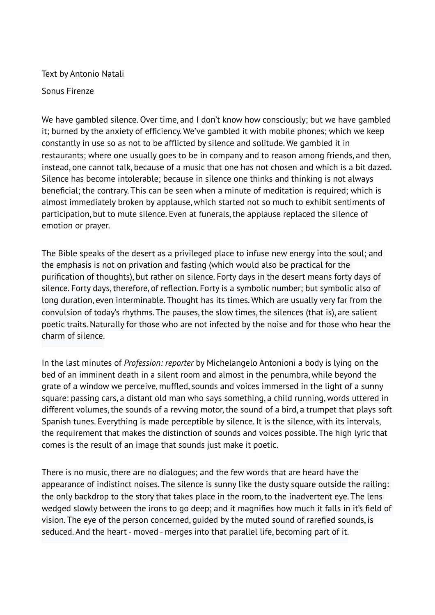Text by Antonio Natali

Sonus Firenze

We have gambled silence. Over time, and I don't know how consciously; but we have gambled it; burned by the anxiety of efficiency. We've gambled it with mobile phones; which we keep constantly in use so as not to be afflicted by silence and solitude. We gambled it in restaurants; where one usually goes to be in company and to reason among friends, and then, instead, one cannot talk, because of a music that one has not chosen and which is a bit dazed. Silence has become intolerable; because in silence one thinks and thinking is not always beneficial; the contrary. This can be seen when a minute of meditation is required; which is almost immediately broken by applause, which started not so much to exhibit sentiments of participation, but to mute silence. Even at funerals, the applause replaced the silence of emotion or prayer.

The Bible speaks of the desert as a privileged place to infuse new energy into the soul; and the emphasis is not on privation and fasting (which would also be practical for the purification of thoughts), but rather on silence. Forty days in the desert means forty days of silence. Forty days, therefore, of reflection. Forty is a symbolic number; but symbolic also of long duration, even interminable. Thought has its times. Which are usually very far from the convulsion of today's rhythms. The pauses, the slow times, the silences (that is), are salient poetic traits. Naturally for those who are not infected by the noise and for those who hear the charm of silence.

In the last minutes of *Profession: reporter* by Michelangelo Antonioni a body is lying on the bed of an imminent death in a silent room and almost in the penumbra, while beyond the grate of a window we perceive, muffled, sounds and voices immersed in the light of a sunny square: passing cars, a distant old man who says something, a child running, words uttered in different volumes, the sounds of a revving motor, the sound of a bird, a trumpet that plays soft Spanish tunes. Everything is made perceptible by silence. It is the silence, with its intervals, the requirement that makes the distinction of sounds and voices possible. The high lyric that comes is the result of an image that sounds just make it poetic.

There is no music, there are no dialogues; and the few words that are heard have the appearance of indistinct noises. The silence is sunny like the dusty square outside the railing: the only backdrop to the story that takes place in the room, to the inadvertent eye. The lens wedged slowly between the irons to go deep; and it magnifies how much it falls in it's field of vision. The eye of the person concerned, guided by the muted sound of rarefied sounds, is seduced. And the heart - moved - merges into that parallel life, becoming part of it.